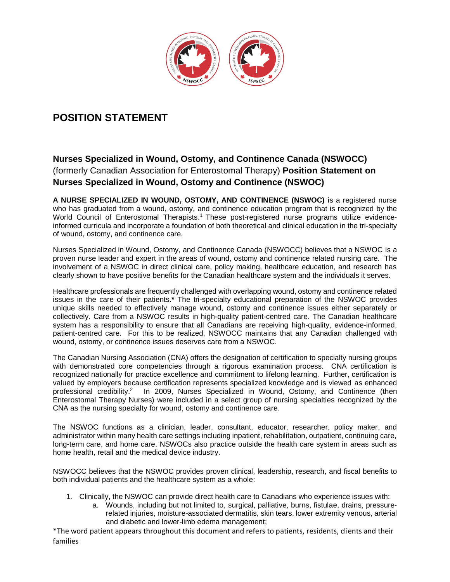

# **POSITION STATEMENT**

# **Nurses Specialized in Wound, Ostomy, and Continence Canada (NSWOCC)** (formerly Canadian Association for Enterostomal Therapy) **Position Statement on Nurses Specialized in Wound, Ostomy and Continence (NSWOC)**

**A NURSE SPECIALIZED IN WOUND, OSTOMY, AND CONTINENCE (NSWOC)** is a registered nurse who has graduated from a wound, ostomy, and continence education program that is recognized by the World Council of Enterostomal Therapists.<sup>1</sup> These post-registered nurse programs utilize evidenceinformed curricula and incorporate a foundation of both theoretical and clinical education in the tri-specialty of wound, ostomy, and continence care.

Nurses Specialized in Wound, Ostomy, and Continence Canada (NSWOCC) believes that a NSWOC is a proven nurse leader and expert in the areas of wound, ostomy and continence related nursing care. The involvement of a NSWOC in direct clinical care, policy making, healthcare education, and research has clearly shown to have positive benefits for the Canadian healthcare system and the individuals it serves.

Healthcare professionals are frequently challenged with overlapping wound, ostomy and continence related issues in the care of their patients.**\*** The tri-specialty educational preparation of the NSWOC provides unique skills needed to effectively manage wound, ostomy and continence issues either separately or collectively. Care from a NSWOC results in high-quality patient-centred care. The Canadian healthcare system has a responsibility to ensure that all Canadians are receiving high-quality, evidence-informed, patient-centred care. For this to be realized, NSWOCC maintains that any Canadian challenged with wound, ostomy, or continence issues deserves care from a NSWOC.

The Canadian Nursing Association (CNA) offers the designation of certification to specialty nursing groups with demonstrated core competencies through a rigorous examination process. CNA certification is recognized nationally for practice excellence and commitment to lifelong learning. Further, certification is valued by employers because certification represents specialized knowledge and is viewed as enhanced professional credibility.<sup>2</sup> In 2009, Nurses Specialized in Wound, Ostomy, and Continence (then Enterostomal Therapy Nurses) were included in a select group of nursing specialties recognized by the CNA as the nursing specialty for wound, ostomy and continence care.

The NSWOC functions as a clinician, leader, consultant, educator, researcher, policy maker, and administrator within many health care settings including inpatient, rehabilitation, outpatient, continuing care, long-term care, and home care. NSWOCs also practice outside the health care system in areas such as home health, retail and the medical device industry.

NSWOCC believes that the NSWOC provides proven clinical, leadership, research, and fiscal benefits to both individual patients and the healthcare system as a whole:

- 1. Clinically, the NSWOC can provide direct health care to Canadians who experience issues with:
	- a. Wounds, including but not limited to, surgical, palliative, burns, fistulae, drains, pressurerelated injuries, moisture-associated dermatitis, skin tears, lower extremity venous, arterial and diabetic and lower-limb edema management;

\*The word patient appears throughout this document and refers to patients, residents, clients and their families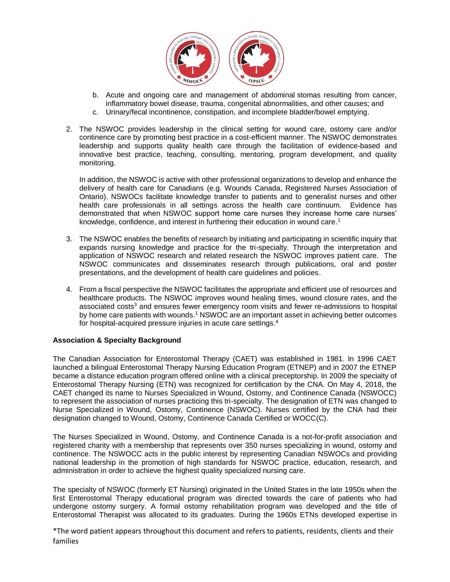

- b. Acute and ongoing care and management of abdominal stomas resulting from cancer, inflammatory bowel disease, trauma, congenital abnormalities, and other causes; and
- c. Urinary/fecal incontinence, constipation, and incomplete bladder/bowel emptying.
- 2. The NSWOC provides leadership in the clinical setting for wound care, ostomy care and/or continence care by promoting best practice in a cost-efficient manner. The NSWOC demonstrates leadership and supports quality health care through the facilitation of evidence-based and innovative best practice, teaching, consulting, mentoring, program development, and quality monitoring.

In addition, the NSWOC is active with other professional organizations to develop and enhance the delivery of health care for Canadians (e.g. Wounds Canada, Registered Nurses Association of Ontario). NSWOCs facilitate knowledge transfer to patients and to generalist nurses and other health care professionals in all settings across the health care continuum. Evidence has demonstrated that when NSWOC support home care nurses they increase home care nurses' knowledge, confidence, and interest in furthering their education in wound care.<sup>1</sup>

- 3. The NSWOC enables the benefits of research by initiating and participating in scientific inquiry that expands nursing knowledge and practice for the tri-specialty. Through the interpretation and application of NSWOC research and related research the NSWOC improves patient care. The NSWOC communicates and disseminates research through publications, oral and poster presentations, and the development of health care guidelines and policies.
- 4. From a fiscal perspective the NSWOC facilitates the appropriate and efficient use of resources and healthcare products. The NSWOC improves wound healing times, wound closure rates, and the associated costs<sup>3</sup> and ensures fewer emergency room visits and fewer re-admissions to hospital by home care patients with wounds.<sup>1</sup> NSWOC are an important asset in achieving better outcomes for hospital-acquired pressure injuries in acute care settings. 4

#### **Association & Specialty Background**

The Canadian Association for Enterostomal Therapy (CAET) was established in 1981. In 1996 CAET launched a bilingual Enterostomal Therapy Nursing Education Program (ETNEP) and in 2007 the ETNEP became a distance education program offered online with a clinical preceptorship. In 2009 the specialty of Enterostomal Therapy Nursing (ETN) was recognized for certification by the CNA. On May 4, 2018, the CAET changed its name to Nurses Specialized in Wound, Ostomy, and Continence Canada (NSWOCC) to represent the association of nurses practicing this tri-specialty. The designation of ETN was changed to Nurse Specialized in Wound, Ostomy, Continence (NSWOC). Nurses certified by the CNA had their designation changed to Wound, Ostomy, Continence Canada Certified or WOCC(C).

The Nurses Specialized in Wound, Ostomy, and Continence Canada is a not-for-profit association and registered charity with a membership that represents over 350 nurses specializing in wound, ostomy and continence. The NSWOCC acts in the public interest by representing Canadian NSWOCs and providing national leadership in the promotion of high standards for NSWOC practice, education, research, and administration in order to achieve the highest quality specialized nursing care.

The specialty of NSWOC (formerly ET Nursing) originated in the United States in the late 1950s when the first Enterostomal Therapy educational program was directed towards the care of patients who had undergone ostomy surgery. A formal ostomy rehabilitation program was developed and the title of Enterostomal Therapist was allocated to its graduates. During the 1960s ETNs developed expertise in

\*The word patient appears throughout this document and refers to patients, residents, clients and their families